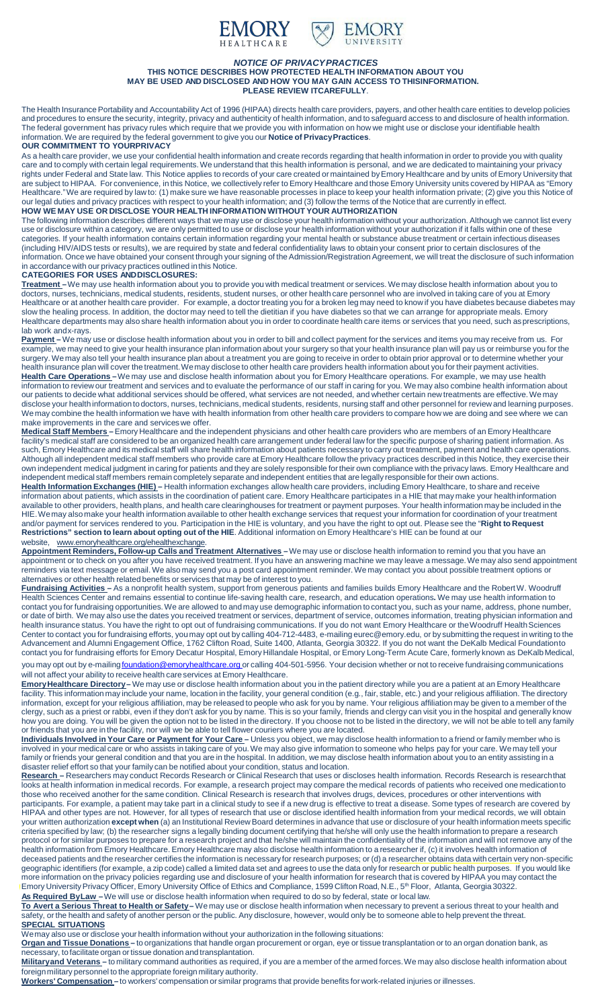

### *NOTICE OF PRIVACYPRACTICES* **THIS NOTICE DESCRIBES HOW PROTECTED HEALTH INFORMATION ABOUT YOU MAY BE USED AND DISCLOSED AND HOW YOU MAY GAIN ACCESS TO THISINFORMATION. PLEASE REVIEW ITCAREFULLY**.

The Health Insurance Portability and Accountability Act of 1996 (HIPAA) directs health care providers, payers, and other health care entities to develop policies and procedures to ensure the security, integrity, privacy and authenticity of health information, and to safeguard access to and disclosure of health information. The federal government has privacy rules which require that we provide you with information on how we might use or disclose your identifiable health information.We are required by the federal government to give you our **Notice of PrivacyPractices**.

## **OUR COMMITMENT TO YOURPRIVACY**

As a health care provider, we use your confidential health information and create records regarding that health information in order to provide you with quality care and to comply with certain legal requirements.We understand that this health information is personal, and we are dedicated to maintaining your privacy rights under Federal and State law. This Notice applies to records of your care created or maintained byEmory Healthcare and by units of Emory University that are subject to HIPAA. For convenience, in this Notice, we collectively refer to Emory Healthcare and those Emory University units covered by HIPAA as "Emory Healthcare."We are required by law to: (1) make sure we have reasonable processes in place to keep your health information private; (2) give you this Notice of our legal duties and privacy practices with respect to your health information; and (3) follow the terms of the Notice that are currently in effect. **HOW WE MAY USE OR DISCLOSE YOUR HEALTH INFORMATION WITHOUT YOUR AUTHORIZATION**

### The following information describes different ways that we may use or disclose your health information without your authorization. Although we cannot list every use or disclosure within a category, we are only permitted to use or disclose your health information without your authorization if it falls within one of these categories. If your health information contains certain information regarding your mental health or substance abuse treatment or certain infectious diseases (including HIV/AIDS tests or results), we are required by state and federal confidentiality laws to obtain your consent prior to certain disclosures of the information. Once we have obtained your consent through your signing of the Admission/Registration Agreement, we will treat the disclosure of such information in accordance with our privacy practices outlined inthis Notice.

# **CATEGORIES FOR USES ANDDISCLOSURES:**

**Treatment –**We may use health information about you to provide you with medical treatment or services.Wemay disclose health information about you to doctors, nurses, technicians, medical students, residents, student nurses, or other health care personnel who are involved in taking care of you at Emory Healthcare or at another health care provider. For example, a doctor treating you for a broken leg may need to know if you have diabetes because diabetes may slow the healing process. In addition, the doctor may need to tell the dietitian if you have diabetes so that we can arrange for appropriate meals. Emory Healthcare departments may also share health information about you in order to coordinate health care items or services that you need, such as prescriptions, lab work andx-rays.

Payment – We may use or disclose health information about you in order to bill and collect payment for the services and items you may receive from us. For example, we may need to give your health insurance plan information about your surgery so that your health insurance plan will pay us or reimburse you for the surgery. We may also tell your health insurance plan about a treatment you are going to receive in order to obtain prior approval or to determine whether your health insurance plan will cover the treatment.Wemay disclose to other health care providers health information about you for their payment activities. **Health Care Operations –**We may use and disclose health information about you for Emory Healthcare operations. For example, we may use health information to review our treatment and services and to evaluate the performance of our staff in caring for you. We may also combine health information about our patients to decide what additional services should be offered, what services are not needed, and whether certain new treatments are effective.We may disclose your health information todoctors, nurses, technicians, medical students, residents, nursing staff and other personnel for reviewand learning purposes. Wemay combine the health information we have with health information from other health care providers to compare how we are doing and see where we can make improvements in the care and serviceswe offer.

**Medical Staff Members –**Emory Healthcare and the independent physicians and other health care providers who are members of an Emory Healthcare facility's medical staff are considered to be an organized health care arrangement under federal law for the specific purpose of sharing patient information. As such, Emory Healthcare and its medical staff will share health information about patients necessary to carry out treatment, payment and health care operations. Although all independent medical staff members who provide care at Emory Healthcare follow the privacy practices described in this Notice, they exercise their own independent medical judgment in caring for patients and they are solely responsible fortheir own compliance with the privacy laws. Emory Healthcare and independent medical staff members remain completely separate and independent entities that are legally responsible fortheir own actions.

**Health Information Exchanges (HIE) –** Health information exchanges allow health care providers, including Emory Healthcare, to share and receive information about patients, which assists in the coordination of patient care. Emory Healthcare participates in a HIE that may make your healthinformation available to other providers, health plans, and health care clearinghouses fortreatment or payment purposes. Your health information may be included in the HIE.Wemay also make your health information available to other health exchange services that request your information for coordination of your treatment and/or payment for services rendered to you. Participation in the HIE is voluntary, and you have the right to opt out. Please see the "**Right to Request Restrictions" section to learn about opting out of the HIE**. Additional information on Emory Healthcare's HIE can be found at our

#### website, [www.emoryhealthcare.org/ehealthexchange.](http://www.emoryhealthcare.org/ehealthexchange)

**Appointment Reminders, Follow-up Calls and Treatment Alternatives –**We may use or disclose health information to remind you that you have an appointment or to check on you after you have received treatment. If you have an answering machine we may leave a message.We may also send appointment reminders via text message or email. We also may send you a post card appointment reminder. We may contact you about possible treatment options or alternatives or other health related benefits or services that may be of interest to you.

**Fundraising Activities –** As a nonprofit health system, support from generous patients and families builds Emory Healthcare and the RobertW. Woodruff Health Sciences Center and remains essential to continue life-saving health care, research, and education operations**.** We may use health information to contact you for fundraising opportunities.We are allowed to and may use demographic information to contact you, such as your name, address, phone number, or date of birth. We may also use the dates you received treatment or services, department of service, outcomes information, treating physician information and health insurance status. You have the right to opt out of fundraising communications. If you do not want Emory Healthcare or theWoodruff HealthSciences Center to contact you for fundraising efforts, you may opt out by calling 404-712-4483, e-mailing [eurec@emory.edu,](mailto:eurec@emory.edu) or by submitting the request in writing to the Advancement and Alumni Engagement Office, 1762 Clifton Road, Suite 1400, Atlanta, Georgia 30322. If you do not want the DeKalb Medical Foundationto contact you for fundraising efforts for Emory Decatur Hospital, Emory Hillandale Hospital, or Emory Long-Term Acute Care, formerly known as DeKalbMedical,

you may opt out by e-mailing foundation@emoryhealthcare.org or calling 404-501-5956. Your decision whether or not to receive fundraising communications will not affect your ability to receive health care services at Emory Healthcare.

**EmoryHealthcare Directory–** We may use or disclose health information about you in the patient directory while you are a patient at an Emory Healthcare facility. This information may include your name, location in the facility, your general condition (e.g., fair, stable, etc.) and your religious affiliation. The directory information, except for your religious affiliation, may be released to people who ask for you by name. Your religious affiliation may be given to a member of the clergy, such as a priest or rabbi, even if they don't ask for you by name. This is so your family, friends and clergy can visit you in the hospital and generally know how you are doing. You will be given the option not to be listed in the directory. If you choose not to be listed in the directory, we will not be able to tell any family or friends that you are in the facility, nor will we be able to tell flower couriers where you are located.

<u>Individuals Involved in Your Care or Payment for Your Care –</u> Unless you object, we may disclose health information to a friend or family member who is involved in your medical care or who assists in taking care of you.We may also give information to someone who helps pay for your care. Wemay tell your family orfriends your general condition and that you are in the hospital. In addition, we may disclose health information about you to an entity assisting in a disaster relief effort so that your family can be notified about your condition, status and location.

Research - Researchers may conduct Records Research or Clinical Research that uses or discloses health information. Records Research is research that looks at health information in medical records. For example, a research project may compare the medical records of patients who received one medicationto those who received another for the same condition. Clinical Research is research that involves drugs, devices, procedures or other interventions with participants. For example, a patient may take part in a clinical study to see if a new drug is effective to treat a disease. Some types of research are covered by HIPAA and other types are not. However, for all types of research that use or disclose identified health information from your medical records, we will obtain your written authorization **except when** (a) an Institutional Review Board determines in advance that use or disclosure of your health information meets specific criteria specified by law; (b) the researcher signs a legally binding document certifying that he/she will only use the health information to prepare a research protocol or for similar purposes to prepare for a research project and that he/she will maintain the confidentiality of the information and will not remove any of the .<br>health information from Emory Healthcare. Emory Healthcare may also disclose health information to a researcher if, (c) it involves health information of deceased patients and the researcher certifies the information is necessary for research purposes; or (d) a researcher obtains data with certain very non-specific geographic identifiers (for example, a zip code) called a limited data set and agrees to use the data only for research or public health purposes. If you would like more information on the privacy policies regarding use and disclosure of your health information for research that is covered by HIPAA you may contact the Emory University Privacy Officer, Emory University Office of Ethics and Compliance, 1599 Clifton Road, N.E., 5<sup>th</sup> Floor, Atlanta, Georgia 30322 **As Required ByLaw –**We will use or disclose health information when required to do so by federal, state or local law.

**To Avert a Serious Threat to Health or Safety–** We may use or disclose health information when necessary to prevent a serious threat to your health and safety, or the health and safety of another person or the public. Any disclosure, however, would only be to someone able to help prevent the threat. **SPECIAL SITUATIONS**

Wemay also use or disclose your health information without your authorization in the following situations:

**Organ and Tissue Donations –** to organizations that handle organ procurement or organ, eye or tissue transplantation or to an organ donation bank, as necessary, to facilitate organ ortissue donation and transplantation.

**Militaryand Veterans –** to military command authorities as required, if you are a member of the armed forces.We may also disclose health information about foreignmilitary personnel to the appropriate foreign military authority.

**Workers' Compensation –** to workers' compensation or similar programs that provide benefits for work-related injuries or illnesses.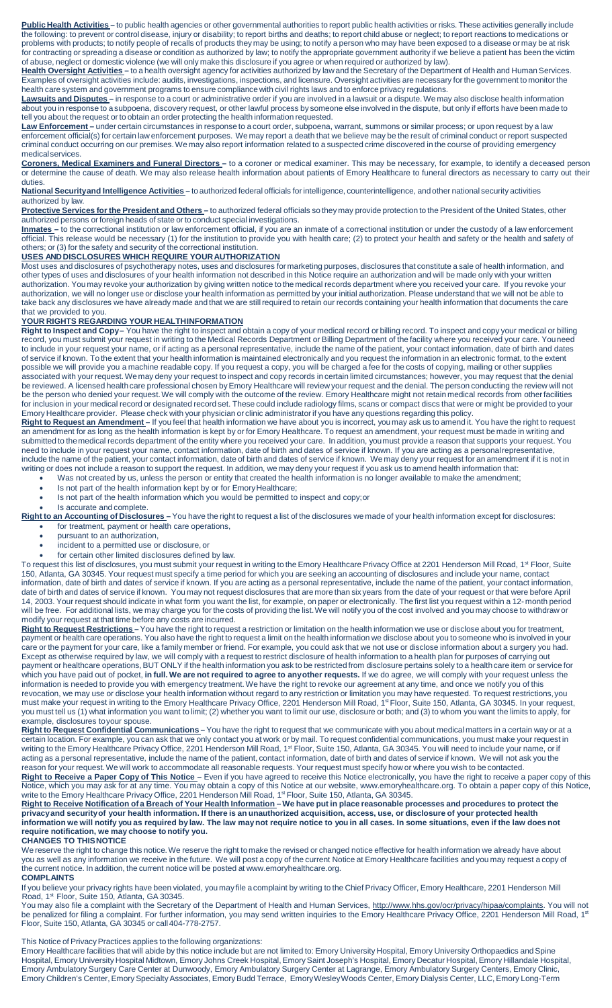**Public Health Activities –** to public health agencies or other governmental authorities to report public health activities or risks. These activities generally include the following: to prevent or control disease, injury or disability; to report births and deaths; to report child abuse or neglect; to report reactions to medications or problems with products; to notify people of recalls of products they may be using; to notify a person who may have been exposed to a disease or may be at risk for contracting or spreading a disease or condition as authorized by law; to notify the appropriate government authority if we believe a patient has been the victim of abuse, neglect or domestic violence (we will only make this disclosure if you agree or when required or authorized by law).

**Health Oversight Activities –** to a health oversight agency for activities authorized by lawand the Secretary of the Department of Health and HumanServices. Examples of oversight activities include: audits, investigations, inspections, and licensure. Oversight activities are necessary forthe government to monitor the health care system and government programs to ensure compliance with civil rights laws and to enforce privacy regulations.

**Lawsuits and Disputes –** in response to a court or administrative order if you are involved in a lawsuit or a dispute.We may also disclose health information about you in response to a subpoena, discovery request, or other lawful process by someone else involved in the dispute, but only if efforts have been made to tell you about the request or to obtain an order protecting the health information requested.

**Law Enforcement –** under certain circumstances in response to a court order, subpoena, warrant, summons or similar process; or upon request by a law enforcement official(s) for certain law enforcement purposes. We may report a death that we believe may be the result of criminal conduct or report suspected criminal conduct occurring on our premises.We may also report information related to a suspected crime discovered in the course of providing emergency medicalservices.

**Coroners, Medical Examiners and Funeral Directors –** to a coroner or medical examiner. This may be necessary, for example, to identify a deceased person or determine the cause of death. We may also release health information about patients of Emory Healthcare to funeral directors as necessary to carry out their duties.

**National Securityand Intelligence Activities –** to authorized federal officials forintelligence, counterintelligence, and other national security activities

# authorized by law.

**Protective Services for the President and Others –** to authorized federal officials so they may provide protection to the President of the United States, other authorized persons orforeign heads of state orto conduct special investigations.

**Inmates –** to the correctional institution or law enforcement official, if you are an inmate of a correctional institution or under the custody of a law enforcement official. This release would be necessary (1) for the institution to provide you with health care; (2) to protect your health and safety or the health and safety of others; or (3) for the safety and security of the correctional institution.

**USES ANDDISCLOSURES WHICH REQUIRE YOURAUTHORIZATION**

Most uses and disclosures of psychotherapy notes, uses and disclosures for marketing purposes, disclosures that constitute a sale of health information, and other types of uses and disclosures of your health information not described in this Notice require an authorization and will be made only with your written authorization. You may revoke your authorization by giving written notice to the medical records department where you received your care. If you revoke your authorization, we will no longer use or disclose your health information as permitted by your initial authorization. Please understand that we will not be able to take back any disclosures we have already made and that we are stillrequired to retain our records containing your health information that documents the care that we provided to you.

## **YOUR RIGHTS REGARDING YOUR HEALTHINFORMATION**

**Right to Inspect and Copy–** You have the right to inspect and obtain a copy of your medical record or billing record. To inspect and copy your medical or billing record, you must submit your request in writing to the Medical Records Department or Billing Department of the facility where you received your care. Youneed to include in your request your name, or if acting as a personal representative, include the name of the patient, your contact information, date of birth and dates of service if known. To the extent that your health information is maintained electronically and you request the information in an electronic format, to the extent possible we will provide you a machine readable copy. If you request a copy, you will be charged a fee for the costs of copying, mailing or other supplies associated with your request.Wemay deny your request to inspect and copy records in certain limited circumstances; however, you may request that the denial be reviewed. A licensed health care professional chosen by Emory Healthcare will review your request and the denial. The person conducting the review will not be the person who denied your request.We will comply with the outcome of the review. Emory Healthcare might not retain medical records from otherfacilities for inclusion in your medical record or designated record set. These could include radiology films, scans or compact discs that were or might be provided to your Emory Healthcare provider. Please check with your physician or clinic administrator if you have any questions regarding this policy.

**Right to Request an Amendment –** If you feel that health information we have about you is incorrect, you may ask us to amend it. You have the right to request an amendment for as long as the health information is kept by or for Emory Healthcare. To request an amendment, your request must be made in writing and submitted to themedical records department of the entity where you received your care. In addition, youmust provide a reason that supports your request. You need to include in your request your name, contact information, date of birth and dates of service if known. If you are acting as a personalrepresentative, include the name of the patient, your contact information, date of birth and dates of service if known. We may deny your request for an amendment if it is not in writing or does not include a reason to support the request. In addition, we may deny your request if you ask us to amend health information that:

- Was not created by us, unless the person or entity that created the health information is no longer available to make the amendment;
- Is not part of the health information kept by or for Emory Healthcare;
- Is not part of the health information which you would be permitted to inspect and copy;or
- Is accurate and complete.

**Right to an Accounting of Disclosures –** You have the right to request a list of the disclosures we made of your health information except for disclosures: • for treatment, payment or health care operations,

- pursuant to an authorization,
	- incident to a permitted use or disclosure, or
	- for certain other limited disclosures defined by law.

To request this list of disclosures, you must submit your request in writing to the Emory Healthcare Privacy Office at 2201 Henderson Mill Road, 1<sup>st</sup> Floor, Suite 150, Atlanta, GA 30345. Your request must specify a time period for which you are seeking an accounting of disclosures and include your name, contact information, date of birth and dates of service if known. If you are acting as a personal representative, include the name of the patient, your contact information, date of birth and dates of service if known. You may not request disclosures that are more than six years from the date of your request or that were before April 14, 2003. Your request should indicate in what form you want the list, for example, on paper or electronically. The first list you request within a 12- month period will be free. For additional lists, we may charge you for the costs of providing the list.We will notify you of the cost involved and you may choose to withdraw or modify your request at that time before any costs are incurred.

**Right to Request Restrictions –**You have the right to request a restriction or limitation on the health information we use or disclose about you for treatment, payment or health care operations. You also have the right to request a limit on the health information we disclose about you to someone who is involved in your care or the payment for your care, like a family member or friend. For example, you could ask that we not use or disclose information about a surgery you had. Except as otherwise required by law, we will comply with a request to restrict disclosure of health information to a health plan for purposes of carrying out payment or healthcare operations, BUT ONLY if the health information you ask to be restricted from disclosure pertains solely to a health care item or service for which you have paid out of pocket, in full. We are not required to agree to anyother requests. If we do agree, we will comply with your request unless the information is needed to provide you with emergency treatment.We have the right to revoke our agreement at any time, and once we notify you of this revocation, we may use or disclose your health information without regard to any restriction or limitation you may have requested. To request restrictions,you must make your request in writing to the Emory Healthcare Privacy Office, 2201 Henderson Mill Road, 1<sup>st</sup> Floor, Suite 150, Atlanta, GA 30345. In your request, you must tell us (1) what information you want to limit; (2) whether you want to limit our use, disclosure or both; and (3) to whom you want the limits to apply, for example, disclosures toyour spouse.

**Right to Request Confidential Communications –** You have the right to request that we communicate with you about medical matters in a certain way or at a certain location. For example, you can ask that we only contact you at work or by mail. To request confidential communications, you must make your request in writing to the Emory Healthcare Privacy Office, 2201 Henderson Mill Road, 1<sup>st</sup> Floor, Suite 150, Atlanta, GA 30345. You will need to include your name, or if acting as a personal representative, include the name of the patient, contact information, date of birth and dates of service if known. We will not ask you the reason for your request.We will work to accommodate all reasonable requests. Your request must specify how or where you wish to be contacted. Right to Receive a Paper Copy of This Notice – Even if you have agreed to receive this Notice electronically, you have the right to receive a paper copy of this Notice, which you may ask for at any time. You may obtain a copy of this Notice at our website, [www.emoryhealthcare.org.](http://www.emoryhealthcare.org/) To obtain a paper copy of this Notice, write to the Emory Healthcare Privacy Office, 2201 Henderson Mill Road, 1st Floor, Suite 150, Atlanta, GA 30345.

## <u>Right to Receive Notification of a Breach of Your Health Information</u> – We have put in place reasonable processes and procedures to protect the privacyand securityof your health information. If there is an unauthorized acquisition, access, use, or disclosure of your protected health information we will notify you as required by law. The law may not require notice to you in all cases. In some situations, even if the law does not **require notification, we may choose tonotify you.**

**CHANGES TO THISNOTICE**

We reserve the right to change this notice. We reserve the right to make the revised or changed notice effective for health information we already have about you as well as any information we receive in the future. We will post a copy of the current Notice at Emory Healthcare facilities and you may request a copy of the current notice. In addition, the current notice will be posted at [www.emoryhealthcare.org.](http://www.emoryhealthcare.org/) **COMPLAINTS**

## If you believe your privacy rights have been violated, you may file a complaint by writing to the Chief Privacy Officer, Emory Healthcare, 2201 Henderson Mill Road, 1<sup>st</sup> Floor, Suite 150, Atlanta, GA 30345.

You may also file a complaint with the Secretary of the Department of Health and Human Services, <u>http://www.hhs.gov/ocr/privacy/hipaa/complaints</u>. You will not be penalized for filing a complaint. For further information, you may send written inquiries to the Emory Healthcare Privacy Office, 2201 Henderson Mill Road, 1<sup>st</sup> Floor, Suite 150, Atlanta, GA 30345 or call404-778-2757.

# This Notice of Privacy Practices applies to the following organizations:

Emory Healthcare facilities that will abide by this notice include but are not limited to: Emory University Hospital, Emory University Orthopaedics and Spine Hospital, Emory University Hospital Midtown, Emory Johns Creek Hospital, EmorySaint Joseph's Hospital, Emory Decatur Hospital, Emory Hillandale Hospital, Emory Ambulatory Surgery Care Center at Dunwoody, Emory Ambulatory Surgery Center at Lagrange, Emory Ambulatory Surgery Centers, Emory Clinic, Emory Children's Center, Emory SpecialtyAssociates, EmoryBudd Terrace, EmoryWesleyWoods Center, Emory Dialysis Center, LLC, Emory Long-Term